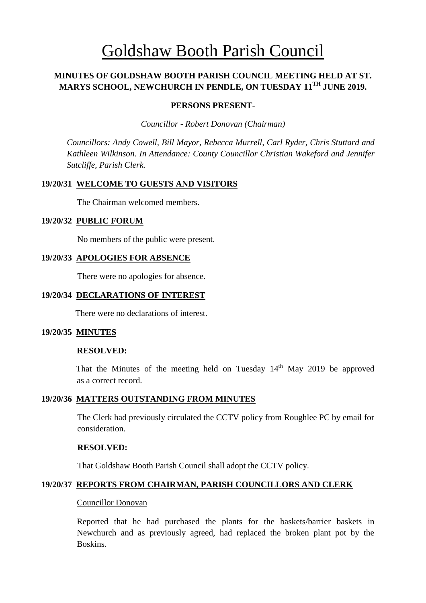# Goldshaw Booth Parish Council

## **MINUTES OF GOLDSHAW BOOTH PARISH COUNCIL MEETING HELD AT ST. MARYS SCHOOL, NEWCHURCH IN PENDLE, ON TUESDAY 11TH JUNE 2019.**

#### **PERSONS PRESENT-**

*Councillor* - *Robert Donovan (Chairman)*

*Councillors: Andy Cowell, Bill Mayor, Rebecca Murrell, Carl Ryder, Chris Stuttard and Kathleen Wilkinson. In Attendance: County Councillor Christian Wakeford and Jennifer Sutcliffe, Parish Clerk.*

## **19/20/31 WELCOME TO GUESTS AND VISITORS**

The Chairman welcomed members.

#### **19/20/32 PUBLIC FORUM**

No members of the public were present.

#### **19/20/33 APOLOGIES FOR ABSENCE**

There were no apologies for absence.

#### **19/20/34 DECLARATIONS OF INTEREST**

There were no declarations of interest.

#### **19/20/35 MINUTES**

#### **RESOLVED:**

That the Minutes of the meeting held on Tuesday  $14<sup>th</sup>$  May 2019 be approved as a correct record.

#### **19/20/36 MATTERS OUTSTANDING FROM MINUTES**

The Clerk had previously circulated the CCTV policy from Roughlee PC by email for consideration.

#### **RESOLVED:**

That Goldshaw Booth Parish Council shall adopt the CCTV policy.

#### **19/20/37 REPORTS FROM CHAIRMAN, PARISH COUNCILLORS AND CLERK**

#### Councillor Donovan

Reported that he had purchased the plants for the baskets/barrier baskets in Newchurch and as previously agreed, had replaced the broken plant pot by the Boskins.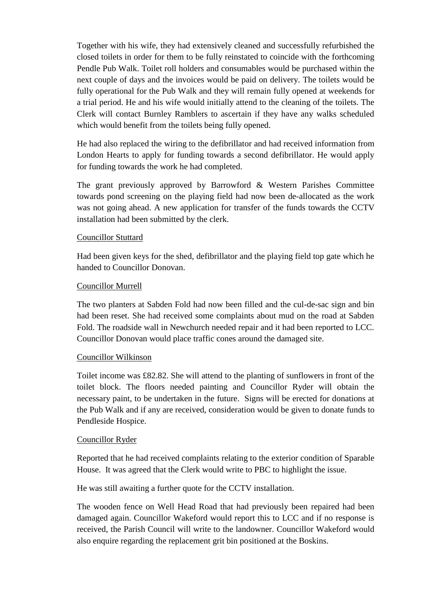Together with his wife, they had extensively cleaned and successfully refurbished the closed toilets in order for them to be fully reinstated to coincide with the forthcoming Pendle Pub Walk. Toilet roll holders and consumables would be purchased within the next couple of days and the invoices would be paid on delivery. The toilets would be fully operational for the Pub Walk and they will remain fully opened at weekends for a trial period. He and his wife would initially attend to the cleaning of the toilets. The Clerk will contact Burnley Ramblers to ascertain if they have any walks scheduled which would benefit from the toilets being fully opened.

He had also replaced the wiring to the defibrillator and had received information from London Hearts to apply for funding towards a second defibrillator. He would apply for funding towards the work he had completed.

The grant previously approved by Barrowford & Western Parishes Committee towards pond screening on the playing field had now been de-allocated as the work was not going ahead. A new application for transfer of the funds towards the CCTV installation had been submitted by the clerk.

## Councillor Stuttard

Had been given keys for the shed, defibrillator and the playing field top gate which he handed to Councillor Donovan.

## Councillor Murrell

The two planters at Sabden Fold had now been filled and the cul-de-sac sign and bin had been reset. She had received some complaints about mud on the road at Sabden Fold. The roadside wall in Newchurch needed repair and it had been reported to LCC. Councillor Donovan would place traffic cones around the damaged site.

## Councillor Wilkinson

Toilet income was £82.82. She will attend to the planting of sunflowers in front of the toilet block. The floors needed painting and Councillor Ryder will obtain the necessary paint, to be undertaken in the future. Signs will be erected for donations at the Pub Walk and if any are received, consideration would be given to donate funds to Pendleside Hospice.

#### Councillor Ryder

Reported that he had received complaints relating to the exterior condition of Sparable House. It was agreed that the Clerk would write to PBC to highlight the issue.

He was still awaiting a further quote for the CCTV installation.

The wooden fence on Well Head Road that had previously been repaired had been damaged again. Councillor Wakeford would report this to LCC and if no response is received, the Parish Council will write to the landowner. Councillor Wakeford would also enquire regarding the replacement grit bin positioned at the Boskins.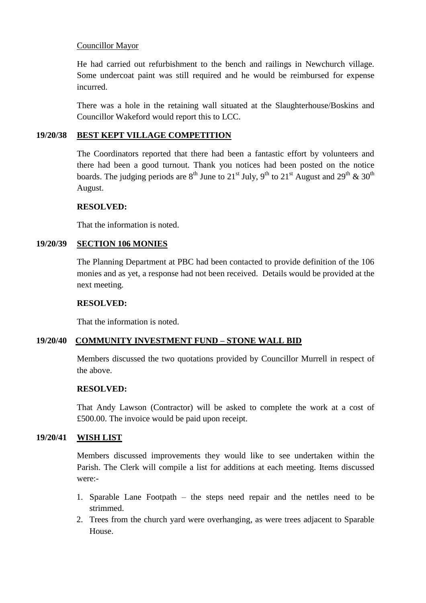## Councillor Mayor

He had carried out refurbishment to the bench and railings in Newchurch village. Some undercoat paint was still required and he would be reimbursed for expense incurred.

There was a hole in the retaining wall situated at the Slaughterhouse/Boskins and Councillor Wakeford would report this to LCC.

#### **19/20/38 BEST KEPT VILLAGE COMPETITION**

The Coordinators reported that there had been a fantastic effort by volunteers and there had been a good turnout. Thank you notices had been posted on the notice boards. The judging periods are  $8^{th}$  June to  $21^{st}$  July,  $9^{th}$  to  $21^{st}$  August and  $29^{th}$  &  $30^{th}$ August.

## **RESOLVED:**

That the information is noted.

## **19/20/39 SECTION 106 MONIES**

The Planning Department at PBC had been contacted to provide definition of the 106 monies and as yet, a response had not been received. Details would be provided at the next meeting.

#### **RESOLVED:**

That the information is noted.

## **19/20/40 COMMUNITY INVESTMENT FUND – STONE WALL BID**

Members discussed the two quotations provided by Councillor Murrell in respect of the above.

#### **RESOLVED:**

That Andy Lawson (Contractor) will be asked to complete the work at a cost of £500.00. The invoice would be paid upon receipt.

## **19/20/41 WISH LIST**

Members discussed improvements they would like to see undertaken within the Parish. The Clerk will compile a list for additions at each meeting. Items discussed were:-

- 1. Sparable Lane Footpath the steps need repair and the nettles need to be strimmed.
- 2. Trees from the church yard were overhanging, as were trees adjacent to Sparable House.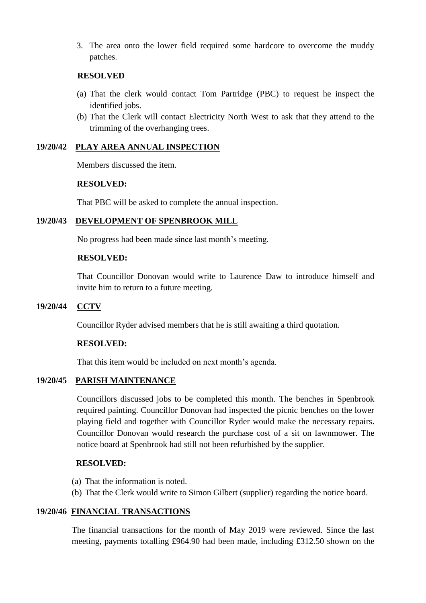3. The area onto the lower field required some hardcore to overcome the muddy patches.

#### **RESOLVED**

- (a) That the clerk would contact Tom Partridge (PBC) to request he inspect the identified jobs.
- (b) That the Clerk will contact Electricity North West to ask that they attend to the trimming of the overhanging trees.

## **19/20/42 PLAY AREA ANNUAL INSPECTION**

Members discussed the item.

#### **RESOLVED:**

That PBC will be asked to complete the annual inspection.

#### **19/20/43 DEVELOPMENT OF SPENBROOK MILL**

No progress had been made since last month's meeting.

#### **RESOLVED:**

That Councillor Donovan would write to Laurence Daw to introduce himself and invite him to return to a future meeting.

#### **19/20/44 CCTV**

Councillor Ryder advised members that he is still awaiting a third quotation.

#### **RESOLVED:**

That this item would be included on next month's agenda.

## **19/20/45 PARISH MAINTENANCE**

Councillors discussed jobs to be completed this month. The benches in Spenbrook required painting. Councillor Donovan had inspected the picnic benches on the lower playing field and together with Councillor Ryder would make the necessary repairs. Councillor Donovan would research the purchase cost of a sit on lawnmower. The notice board at Spenbrook had still not been refurbished by the supplier.

#### **RESOLVED:**

- (a) That the information is noted.
- (b) That the Clerk would write to Simon Gilbert (supplier) regarding the notice board.

#### **19/20/46 FINANCIAL TRANSACTIONS**

 The financial transactions for the month of May 2019 were reviewed. Since the last meeting, payments totalling £964.90 had been made, including £312.50 shown on the